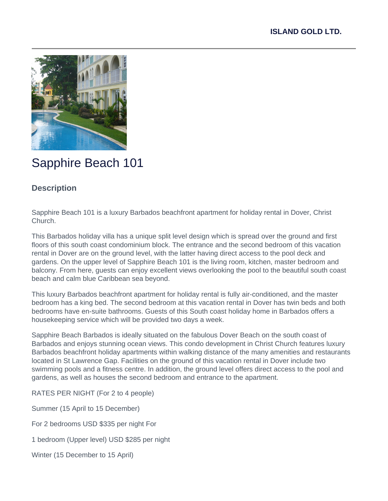

# Sapphire Beach 101

## **Description**

Sapphire Beach 101 is a luxury Barbados beachfront apartment for holiday rental in Dover, Christ Church.

This Barbados holiday villa has a unique split level design which is spread over the ground and first floors of this south coast condominium block. The entrance and the second bedroom of this vacation rental in Dover are on the ground level, with the latter having direct access to the pool deck and gardens. On the upper level of Sapphire Beach 101 is the living room, kitchen, master bedroom and balcony. From here, guests can enjoy excellent views overlooking the pool to the beautiful south coast beach and calm blue Caribbean sea beyond.

This luxury Barbados beachfront apartment for holiday rental is fully air-conditioned, and the master bedroom has a king bed. The second bedroom at this vacation rental in Dover has twin beds and both bedrooms have en-suite bathrooms. Guests of this South coast holiday home in Barbados offers a housekeeping service which will be provided two days a week.

Sapphire Beach Barbados is ideally situated on the fabulous Dover Beach on the south coast of Barbados and enjoys stunning ocean views. This condo development in Christ Church features luxury Barbados beachfront holiday apartments within walking distance of the many amenities and restaurants located in St Lawrence Gap. Facilities on the ground of this vacation rental in Dover include two swimming pools and a fitness centre. In addition, the ground level offers direct access to the pool and gardens, as well as houses the second bedroom and entrance to the apartment.

RATES PER NIGHT (For 2 to 4 people)

Summer (15 April to 15 December)

For 2 bedrooms USD \$335 per night For

1 bedroom (Upper level) USD \$285 per night

Winter (15 December to 15 April)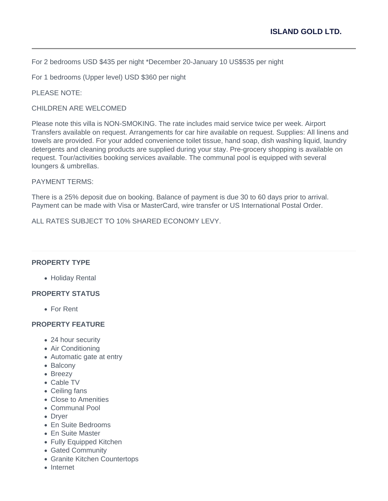For 2 bedrooms USD \$435 per night \*December 20-January 10 US\$535 per night

For 1 bedrooms (Upper level) USD \$360 per night

PLEASE NOTE:

CHILDREN ARE WELCOMED

Please note this villa is NON-SMOKING. The rate includes maid service twice per week. Airport Transfers available on request. Arrangements for car hire available on request. Supplies: All linens and towels are provided. For your added convenience toilet tissue, hand soap, dish washing liquid, laundry detergents and cleaning products are supplied during your stay. Pre-grocery shopping is available on request. Tour/activities booking services available. The communal pool is equipped with several loungers & umbrellas.

#### PAYMENT TERMS:

There is a 25% deposit due on booking. Balance of payment is due 30 to 60 days prior to arrival. Payment can be made with Visa or MasterCard, wire transfer or US International Postal Order.

ALL RATES SUBJECT TO 10% SHARED ECONOMY I FVY.

#### **PROPERTY TYPE**

Holiday Rental

#### **PROPERTY STATUS**

For Rent

#### **PROPERTY FEATURE**

- 24 hour security
- Air Conditioning
- Automatic gate at entry
- Balcony
- Breezy
- Cable TV
- Ceiling fans
- Close to Amenities
- Communal Pool
- Dryer
- En Suite Bedrooms
- En Suite Master
- Fully Equipped Kitchen
- Gated Community
- Granite Kitchen Countertops
- Internet